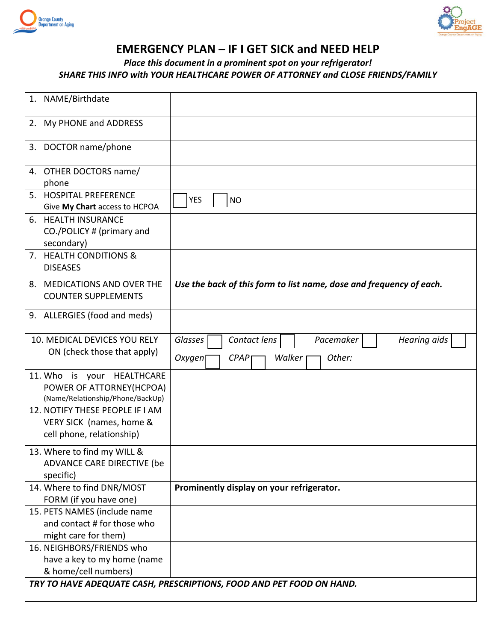



# **EMERGENCY PLAN – IF I GET SICK and NEED HELP**

## *Place this document in a prominent spot on your refrigerator! SHARE THIS INFO with YOUR HEALTHCARE POWER OF ATTORNEY and CLOSE FRIENDS/FAMILY*

| NAME/Birthdate<br>1.                                                                             |                                                                                            |
|--------------------------------------------------------------------------------------------------|--------------------------------------------------------------------------------------------|
| My PHONE and ADDRESS<br>2.                                                                       |                                                                                            |
| 3. DOCTOR name/phone                                                                             |                                                                                            |
| 4. OTHER DOCTORS name/<br>phone                                                                  |                                                                                            |
| 5. HOSPITAL PREFERENCE<br>Give My Chart access to HCPOA                                          | <b>YES</b><br><b>NO</b>                                                                    |
| 6. HEALTH INSURANCE<br>CO./POLICY # (primary and<br>secondary)                                   |                                                                                            |
| 7. HEALTH CONDITIONS &<br><b>DISEASES</b>                                                        |                                                                                            |
| 8. MEDICATIONS AND OVER THE<br><b>COUNTER SUPPLEMENTS</b>                                        | Use the back of this form to list name, dose and frequency of each.                        |
| 9. ALLERGIES (food and meds)                                                                     |                                                                                            |
| 10. MEDICAL DEVICES YOU RELY<br>ON (check those that apply)                                      | Glasses<br>Contact lens<br>Pacemaker<br>Hearing aids<br>Other:<br>Oxygen<br>CPAP<br>Walker |
| 11. Who<br>is your<br>HEALTHCARE<br>POWER OF ATTORNEY(HCPOA)<br>(Name/Relationship/Phone/BackUp) |                                                                                            |
| 12. NOTIFY THESE PEOPLE IF I AM<br>VERY SICK (names, home &<br>cell phone, relationship)         |                                                                                            |
| 13. Where to find my WILL &<br>ADVANCE CARE DIRECTIVE (be<br>specific)                           |                                                                                            |
| 14. Where to find DNR/MOST<br>FORM (if you have one)                                             | Prominently display on your refrigerator.                                                  |
| 15. PETS NAMES (include name<br>and contact # for those who<br>might care for them)              |                                                                                            |
| 16. NEIGHBORS/FRIENDS who<br>have a key to my home (name<br>& home/cell numbers)                 | TRY TO HAVE ADEQUATE CASH, PRESCRIPTIONS, FOOD AND PET FOOD ON HAND.                       |
|                                                                                                  |                                                                                            |